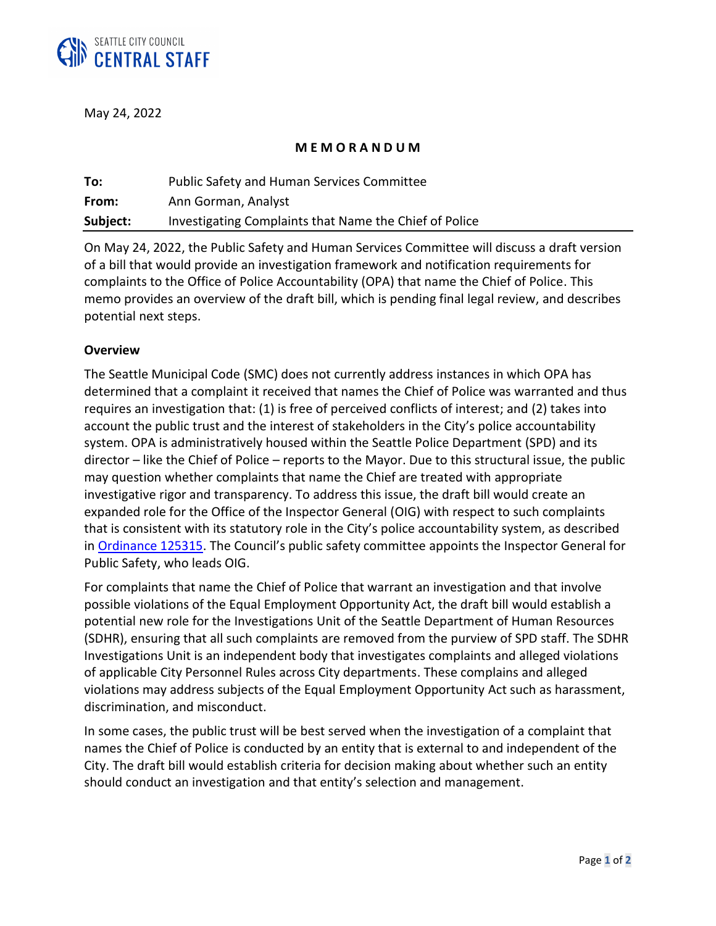

May 24, 2022

## **M E M O R A N D U M**

| To:      | <b>Public Safety and Human Services Committee</b>      |
|----------|--------------------------------------------------------|
| From:    | Ann Gorman, Analyst                                    |
| Subject: | Investigating Complaints that Name the Chief of Police |

On May 24, 2022, the Public Safety and Human Services Committee will discuss a draft version of a bill that would provide an investigation framework and notification requirements for complaints to the Office of Police Accountability (OPA) that name the Chief of Police. This memo provides an overview of the draft bill, which is pending final legal review, and describes potential next steps.

## **Overview**

The Seattle Municipal Code (SMC) does not currently address instances in which OPA has determined that a complaint it received that names the Chief of Police was warranted and thus requires an investigation that: (1) is free of perceived conflicts of interest; and (2) takes into account the public trust and the interest of stakeholders in the City's police accountability system. OPA is administratively housed within the Seattle Police Department (SPD) and its director – like the Chief of Police – reports to the Mayor. Due to this structural issue, the public may question whether complaints that name the Chief are treated with appropriate investigative rigor and transparency. To address this issue, the draft bill would create an expanded role for the Office of the Inspector General (OIG) with respect to such complaints that is consistent with its statutory role in the City's police accountability system, as described in [Ordinance 125315.](https://seattle.legistar.com/ViewReport.ashx?M=R&N=Master&GID=393&ID=3041612&GUID=189886AB-6C46-438A-AB56-DA45AE4FCD7B&Extra=WithText&Title=Legislation+Details+(With+Text)) The Council's public safety committee appoints the Inspector General for Public Safety, who leads OIG.

For complaints that name the Chief of Police that warrant an investigation and that involve possible violations of the Equal Employment Opportunity Act, the draft bill would establish a potential new role for the Investigations Unit of the Seattle Department of Human Resources (SDHR), ensuring that all such complaints are removed from the purview of SPD staff. The SDHR Investigations Unit is an independent body that investigates complaints and alleged violations of applicable City Personnel Rules across City departments. These complains and alleged violations may address subjects of the Equal Employment Opportunity Act such as harassment, discrimination, and misconduct.

In some cases, the public trust will be best served when the investigation of a complaint that names the Chief of Police is conducted by an entity that is external to and independent of the City. The draft bill would establish criteria for decision making about whether such an entity should conduct an investigation and that entity's selection and management.